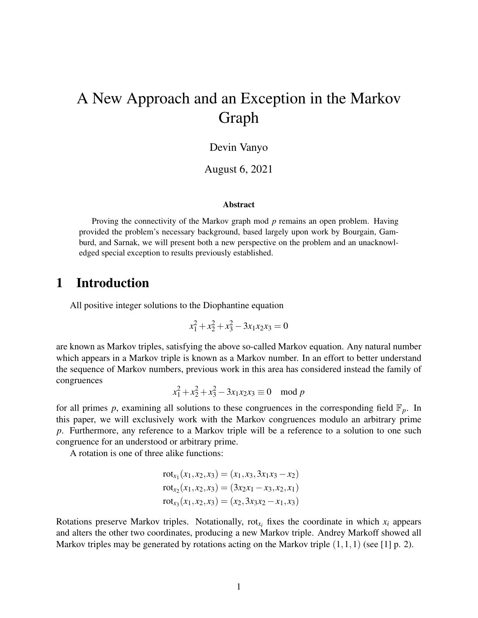# A New Approach and an Exception in the Markov Graph

#### Devin Vanyo

August 6, 2021

#### **Abstract**

Proving the connectivity of the Markov graph mod *p* remains an open problem. Having provided the problem's necessary background, based largely upon work by Bourgain, Gamburd, and Sarnak, we will present both a new perspective on the problem and an unacknowledged special exception to results previously established.

### 1 Introduction

All positive integer solutions to the Diophantine equation

$$
x_1^2 + x_2^2 + x_3^2 - 3x_1x_2x_3 = 0
$$

are known as Markov triples, satisfying the above so-called Markov equation. Any natural number which appears in a Markov triple is known as a Markov number. In an effort to better understand the sequence of Markov numbers, previous work in this area has considered instead the family of congruences

$$
x_1^2 + x_2^2 + x_3^2 - 3x_1x_2x_3 \equiv 0 \mod p
$$

for all primes p, examining all solutions to these congruences in the corresponding field  $\mathbb{F}_p$ . In this paper, we will exclusively work with the Markov congruences modulo an arbitrary prime *p*. Furthermore, any reference to a Markov triple will be a reference to a solution to one such congruence for an understood or arbitrary prime.

A rotation is one of three alike functions:

$$
rot_{x_1}(x_1, x_2, x_3) = (x_1, x_3, 3x_1x_3 - x_2)
$$
  
\n
$$
rot_{x_2}(x_1, x_2, x_3) = (3x_2x_1 - x_3, x_2, x_1)
$$
  
\n
$$
rot_{x_3}(x_1, x_2, x_3) = (x_2, 3x_3x_2 - x_1, x_3)
$$

Rotations preserve Markov triples. Notationally,  $rot_{x_i}$  fixes the coordinate in which  $x_i$  appears and alters the other two coordinates, producing a new Markov triple. Andrey Markoff showed all Markov triples may be generated by rotations acting on the Markov triple  $(1,1,1)$  (see [1] p. 2).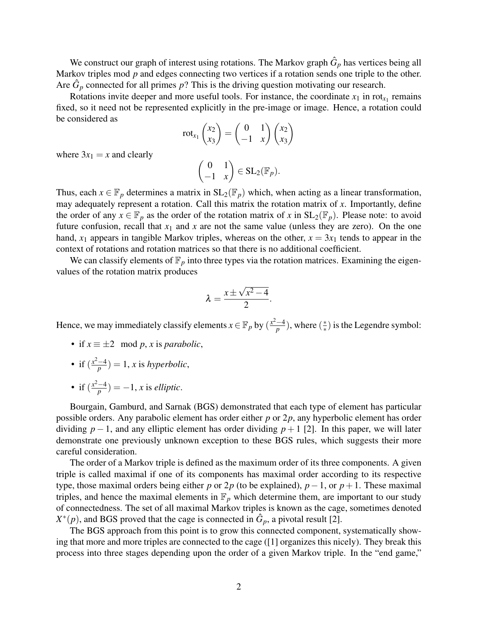We construct our graph of interest using rotations. The Markov graph  $\hat{G}_p$  has vertices being all Markov triples mod *p* and edges connecting two vertices if a rotation sends one triple to the other. Are  $\hat{G}_p$  connected for all primes  $p$ ? This is the driving question motivating our research.

Rotations invite deeper and more useful tools. For instance, the coordinate  $x_1$  in rot<sub> $x_1$ </sub> remains fixed, so it need not be represented explicitly in the pre-image or image. Hence, a rotation could be considered as

$$
rot_{x_1}\begin{pmatrix}x_2\\x_3\end{pmatrix}=\begin{pmatrix}0&1\\-1&x\end{pmatrix}\begin{pmatrix}x_2\\x_3\end{pmatrix}
$$

where  $3x_1 = x$  and clearly

$$
\begin{pmatrix} 0 & 1 \ -1 & x \end{pmatrix} \in SL_2(\mathbb{F}_p).
$$

Thus, each  $x \in \mathbb{F}_p$  determines a matrix in  $SL_2(\mathbb{F}_p)$  which, when acting as a linear transformation, may adequately represent a rotation. Call this matrix the rotation matrix of *x*. Importantly, define the order of any  $x \in \mathbb{F}_p$  as the order of the rotation matrix of x in  $SL_2(\mathbb{F}_p)$ . Please note: to avoid future confusion, recall that  $x_1$  and  $x$  are not the same value (unless they are zero). On the one hand,  $x_1$  appears in tangible Markov triples, whereas on the other,  $x = 3x_1$  tends to appear in the context of rotations and rotation matrices so that there is no additional coefficient.

We can classify elements of  $\mathbb{F}_p$  into three types via the rotation matrices. Examining the eigenvalues of the rotation matrix produces

$$
\lambda = \frac{x \pm \sqrt{x^2 - 4}}{2}.
$$

Hence, we may immediately classify elements  $x \in \mathbb{F}_p$  by  $\left(\frac{x^2-4}{p}\right)$  $\frac{-4}{p}$ ), where ( $\frac{*}{*}$ ∗ ) is the Legendre symbol:

- if  $x \equiv \pm 2 \mod p$ , *x* is *parabolic*,
- if  $\left(\frac{x^2-4}{n}\right)$  $\frac{-4}{p}$ ) = 1, *x* is *hyperbolic*,
- if  $\left(\frac{x^2-4}{n}\right)$  $\frac{-4}{p}$ ) = -1, *x* is *elliptic*.

Bourgain, Gamburd, and Sarnak (BGS) demonstrated that each type of element has particular possible orders. Any parabolic element has order either *p* or 2*p*, any hyperbolic element has order dividing  $p-1$ , and any elliptic element has order dividing  $p+1$  [2]. In this paper, we will later demonstrate one previously unknown exception to these BGS rules, which suggests their more careful consideration.

The order of a Markov triple is defined as the maximum order of its three components. A given triple is called maximal if one of its components has maximal order according to its respective type, those maximal orders being either *p* or 2*p* (to be explained),  $p-1$ , or  $p+1$ . These maximal triples, and hence the maximal elements in  $\mathbb{F}_p$  which determine them, are important to our study of connectedness. The set of all maximal Markov triples is known as the cage, sometimes denoted  $X^*(p)$ , and BGS proved that the cage is connected in  $\hat{G}_p$ , a pivotal result [2].

The BGS approach from this point is to grow this connected component, systematically showing that more and more triples are connected to the cage ([1] organizes this nicely). They break this process into three stages depending upon the order of a given Markov triple. In the "end game,"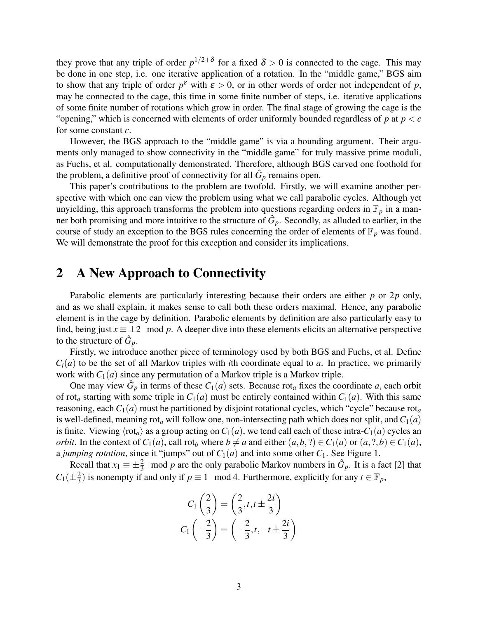they prove that any triple of order  $p^{1/2+\delta}$  for a fixed  $\delta > 0$  is connected to the cage. This may be done in one step, i.e. one iterative application of a rotation. In the "middle game," BGS aim to show that any triple of order  $p^{\varepsilon}$  with  $\varepsilon > 0$ , or in other words of order not independent of p, may be connected to the cage, this time in some finite number of steps, i.e. iterative applications of some finite number of rotations which grow in order. The final stage of growing the cage is the "opening," which is concerned with elements of order uniformly bounded regardless of  $p$  at  $p < c$ for some constant *c*.

However, the BGS approach to the "middle game" is via a bounding argument. Their arguments only managed to show connectivity in the "middle game" for truly massive prime moduli, as Fuchs, et al. computationally demonstrated. Therefore, although BGS carved one foothold for the problem, a definitive proof of connectivity for all  $\hat{G}_p$  remains open.

This paper's contributions to the problem are twofold. Firstly, we will examine another perspective with which one can view the problem using what we call parabolic cycles. Although yet unyielding, this approach transforms the problem into questions regarding orders in  $\mathbb{F}_p$  in a manner both promising and more intuitive to the structure of  $\hat{G}_p$ . Secondly, as alluded to earlier, in the course of study an exception to the BGS rules concerning the order of elements of  $\mathbb{F}_p$  was found. We will demonstrate the proof for this exception and consider its implications.

#### 2 A New Approach to Connectivity

Parabolic elements are particularly interesting because their orders are either *p* or 2*p* only, and as we shall explain, it makes sense to call both these orders maximal. Hence, any parabolic element is in the cage by definition. Parabolic elements by definition are also particularly easy to find, being just  $x \equiv \pm 2 \mod p$ . A deeper dive into these elements elicits an alternative perspective to the structure of  $\hat{G}_p$ .

Firstly, we introduce another piece of terminology used by both BGS and Fuchs, et al. Define  $C_i(a)$  to be the set of all Markov triples with *i*th coordinate equal to *a*. In practice, we primarily work with  $C_1(a)$  since any permutation of a Markov triple is a Markov triple.

One may view  $\hat{G}_p$  in terms of these  $C_1(a)$  sets. Because rot<sub>a</sub> fixes the coordinate *a*, each orbit of rot<sub>a</sub> starting with some triple in  $C_1(a)$  must be entirely contained within  $C_1(a)$ . With this same reasoning, each  $C_1(a)$  must be partitioned by disjoint rotational cycles, which "cycle" because rot<sub>a</sub> is well-defined, meaning rot<sub>a</sub> will follow one, non-intersecting path which does not split, and  $C_1(a)$ is finite. Viewing  $\langle \text{rot}_a \rangle$  as a group acting on  $C_1(a)$ , we tend call each of these intra- $C_1(a)$  cycles an *orbit*. In the context of  $C_1(a)$ , call rot<sub>*b*</sub> where  $b \neq a$  and either  $(a, b, ?) \in C_1(a)$  or  $(a, ?, b) \in C_1(a)$ , a *jumping rotation*, since it "jumps" out of  $C_1(a)$  and into some other  $C_1$ . See Figure 1.

Recall that  $x_1 \equiv \pm \frac{2}{3}$  mod *p* are the only parabolic Markov numbers in  $\hat{G}_p$ . It is a fact [2] that  $C_1(\pm \frac{2}{3})$  $\frac{2}{3}$ ) is nonempty if and only if  $p \equiv 1 \mod 4$ . Furthermore, explicitly for any  $t \in \mathbb{F}_p$ ,

$$
C_1\left(\frac{2}{3}\right) = \left(\frac{2}{3}, t, t \pm \frac{2i}{3}\right)
$$

$$
C_1\left(-\frac{2}{3}\right) = \left(-\frac{2}{3}, t, -t \pm \frac{2i}{3}\right)
$$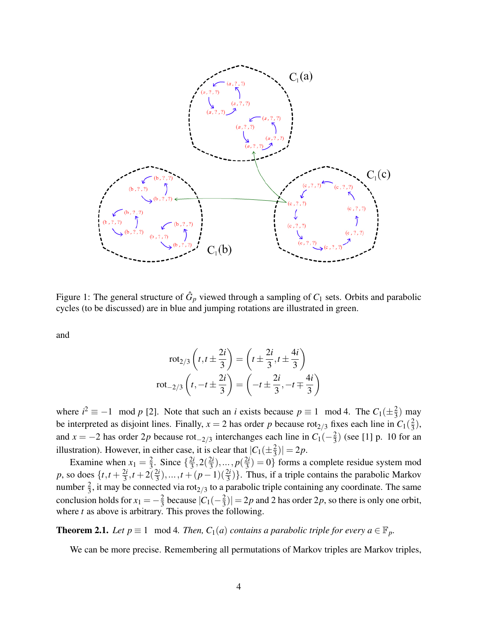

Figure 1: The general structure of  $\hat{G}_p$  viewed through a sampling of  $C_1$  sets. Orbits and parabolic cycles (to be discussed) are in blue and jumping rotations are illustrated in green.

and

$$
rot_{2/3}\left(t, t \pm \frac{2i}{3}\right) = \left(t \pm \frac{2i}{3}, t \pm \frac{4i}{3}\right)
$$

$$
rot_{-2/3}\left(t, -t \pm \frac{2i}{3}\right) = \left(-t \pm \frac{2i}{3}, -t \mp \frac{4i}{3}\right)
$$

where  $i^2 \equiv -1 \mod p$  [2]. Note that such an *i* exists because  $p \equiv 1 \mod 4$ . The  $C_1(\pm \frac{2}{3})$  $\frac{2}{3}$ ) may be interpreted as disjoint lines. Finally,  $x = 2$  has order p because rot<sub>2/3</sub> fixes each line in  $C_1(\frac{2}{3})$  $(\frac{2}{3}),$ and *x* = −2 has order 2*p* because rot<sub>−2/3</sub> interchanges each line in  $C_1(-\frac{2}{3})$  $\frac{2}{3}$ ) (see [1] p. 10 for an illustration). However, in either case, it is clear that  $|C_1(\pm \frac{2}{3})| = 2p$ . 3

Examine when  $x_1 = \frac{2}{3}$  $\frac{2}{3}$ . Since  $\left\{\frac{2i}{3}\right\}$  $\frac{2i}{3}$ ,  $2(\frac{2i}{3})$  $\frac{2i}{3}$ ), ..., *p*( $\frac{2i}{3}$  $\left(\frac{2i}{3}\right) = 0$ } forms a complete residue system mod *p*, so does  $\{t, t + \frac{2i}{3}\}$  $\frac{2i}{3}, t+2(\frac{2i}{3})$  $\left(\frac{2i}{3}\right), \ldots, t + (p-1)\left(\frac{2i}{3}\right)\right\}$ . Thus, if a triple contains the parabolic Markov number  $\frac{2}{3}$ , it may be connected via rot<sub>2/3</sub> to a parabolic triple containing any coordinate. The same conclusion holds for  $x_1 = -\frac{2}{3}$  $rac{2}{3}$  because  $|C_1(-\frac{2}{3})|$  $\left| \frac{2}{3} \right| = 2p$  and 2 has order 2*p*, so there is only one orbit, where *t* as above is arbitrary. This proves the following.

**Theorem 2.1.** *Let*  $p \equiv 1 \mod 4$ *. Then,*  $C_1(a)$  *contains a parabolic triple for every*  $a \in \mathbb{F}_p$ *.* 

We can be more precise. Remembering all permutations of Markov triples are Markov triples,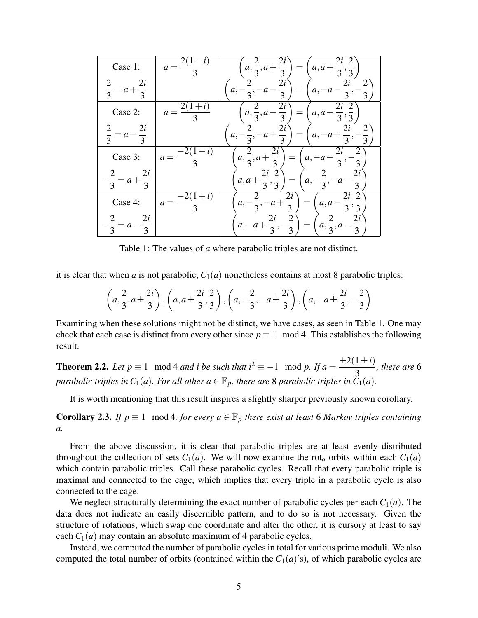| Case 1:                                   | $a = \frac{2(1 - )}{1}$ | 2i<br>2i<br>$a, \frac{2}{3}, a+$<br>$a, a + \frac{\pi}{3}, \frac{\pi}{3}$<br>$\overline{3}$                         |
|-------------------------------------------|-------------------------|---------------------------------------------------------------------------------------------------------------------|
| 2i<br>$\frac{1}{3} = a + \frac{1}{3}$     |                         | 2<br>2i<br>$a, -\frac{1}{3}, -a$ –<br>$a, -a -$<br>$=$<br>$\overline{3}$<br>$\overline{3}$<br>$\overline{3}$        |
| Case 2:                                   | $a =$                   | 2i<br>2<br>$a, \frac{\pi}{3}, a$ –<br>a, a<br>$\frac{1}{3}, \frac{1}{3}$<br>$\overline{3}$                          |
| 2i<br>$\frac{1}{3} = a - \frac{1}{3}$     |                         | 2i<br>$a, -\frac{1}{3}, -a +$<br>$a, -a+\frac{1}{3},$<br>$=$<br>$\overline{3}$<br>$\overline{3}$                    |
| Case 3:                                   | $a =$                   | 2i<br>$a, \frac{\overline{a}}{3}, a + \frac{\overline{a}}{3}$<br>$=$<br>a,<br>$a - \frac{1}{3}$<br>$\overline{3}$   |
| 2i<br>$a + \frac{1}{3}$<br>$\overline{3}$ |                         | $\overline{2}$<br>2i<br>$a, a +$<br>$a, -\frac{1}{3},$<br>$-a$<br>$\overline{3}$ , $\overline{3}$<br>$\overline{3}$ |
| Case 4:                                   | $a =$<br>$\overline{3}$ | 2i<br>$a, -\frac{1}{3}, -a+\frac{1}{3}$<br>a, a<br>$-\overline{3},\overline{3}$                                     |
| 2i<br>$= a - \frac{1}{3}$<br>$\mathbf 3$  |                         | 2i<br>2i<br>$a, \frac{\overline{a}}{3}, a$<br>$a, -a+\frac{1}{3}, -$<br>$-\frac{1}{3}$<br>3                         |

Table 1: The values of *a* where parabolic triples are not distinct.

it is clear that when *a* is not parabolic,  $C_1(a)$  nonetheless contains at most 8 parabolic triples:

$$
\left(a, \frac{2}{3}, a \pm \frac{2i}{3}\right), \left(a, a \pm \frac{2i}{3}, \frac{2}{3}\right), \left(a, -\frac{2}{3}, -a \pm \frac{2i}{3}\right), \left(a, -a \pm \frac{2i}{3}, -\frac{2}{3}\right)
$$

Examining when these solutions might not be distinct, we have cases, as seen in Table 1. One may check that each case is distinct from every other since  $p \equiv 1 \mod 4$ . This establishes the following result.

**Theorem 2.2.** *Let*  $p \equiv 1 \mod 4$  *and i be such that*  $i^2 \equiv -1 \mod p$ . If  $a = \frac{\pm 2(1 \pm i)}{2}$ 3 *, there are* 6 *parabolic triples in*  $C_1(a)$ *. For all other*  $a \in \mathbb{F}_p$ *, there are* 8 *parabolic triples in*  $C_1(a)$ *.* 

It is worth mentioning that this result inspires a slightly sharper previously known corollary.

**Corollary 2.3.** *If*  $p \equiv 1 \mod 4$ , for every  $a \in \mathbb{F}_p$  there exist at least 6 Markov triples containing *a.*

From the above discussion, it is clear that parabolic triples are at least evenly distributed throughout the collection of sets  $C_1(a)$ . We will now examine the rot<sub>a</sub> orbits within each  $C_1(a)$ which contain parabolic triples. Call these parabolic cycles. Recall that every parabolic triple is maximal and connected to the cage, which implies that every triple in a parabolic cycle is also connected to the cage.

We neglect structurally determining the exact number of parabolic cycles per each  $C_1(a)$ . The data does not indicate an easily discernible pattern, and to do so is not necessary. Given the structure of rotations, which swap one coordinate and alter the other, it is cursory at least to say each  $C_1(a)$  may contain an absolute maximum of 4 parabolic cycles.

Instead, we computed the number of parabolic cycles in total for various prime moduli. We also computed the total number of orbits (contained within the  $C_1(a)$ 's), of which parabolic cycles are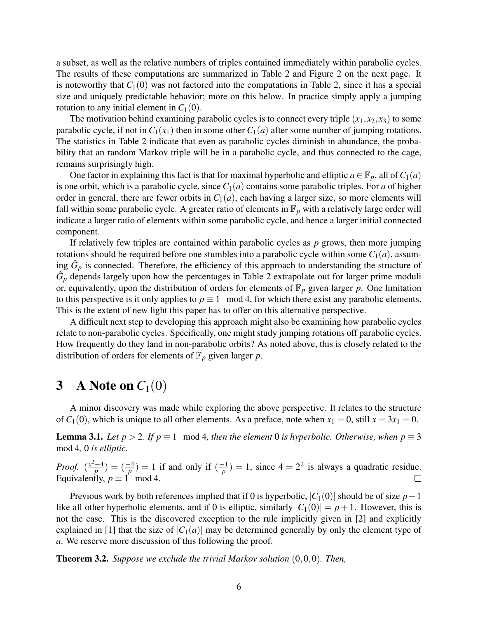a subset, as well as the relative numbers of triples contained immediately within parabolic cycles. The results of these computations are summarized in Table 2 and Figure 2 on the next page. It is noteworthy that  $C_1(0)$  was not factored into the computations in Table 2, since it has a special size and uniquely predictable behavior; more on this below. In practice simply apply a jumping rotation to any initial element in  $C_1(0)$ .

The motivation behind examining parabolic cycles is to connect every triple  $(x_1, x_2, x_3)$  to some parabolic cycle, if not in  $C_1(x_1)$  then in some other  $C_1(a)$  after some number of jumping rotations. The statistics in Table 2 indicate that even as parabolic cycles diminish in abundance, the probability that an random Markov triple will be in a parabolic cycle, and thus connected to the cage, remains surprisingly high.

One factor in explaining this fact is that for maximal hyperbolic and elliptic  $a \in \mathbb{F}_p$ , all of  $C_1(a)$ is one orbit, which is a parabolic cycle, since*C*1(*a*) contains some parabolic triples. For *a* of higher order in general, there are fewer orbits in  $C_1(a)$ , each having a larger size, so more elements will fall within some parabolic cycle. A greater ratio of elements in  $\mathbb{F}_p$  with a relatively large order will indicate a larger ratio of elements within some parabolic cycle, and hence a larger initial connected component.

If relatively few triples are contained within parabolic cycles as *p* grows, then more jumping rotations should be required before one stumbles into a parabolic cycle within some  $C_1(a)$ , assuming  $\hat{G}_p$  is connected. Therefore, the efficiency of this approach to understanding the structure of  $\hat{G}_p$  depends largely upon how the percentages in Table 2 extrapolate out for larger prime moduli or, equivalently, upon the distribution of orders for elements of  $\mathbb{F}_p$  given larger p. One limitation to this perspective is it only applies to  $p \equiv 1 \mod 4$ , for which there exist any parabolic elements. This is the extent of new light this paper has to offer on this alternative perspective.

A difficult next step to developing this approach might also be examining how parabolic cycles relate to non-parabolic cycles. Specifically, one might study jumping rotations off parabolic cycles. How frequently do they land in non-parabolic orbits? As noted above, this is closely related to the distribution of orders for elements of  $\mathbb{F}_p$  given larger *p*.

## 3 A Note on  $C_1(0)$

A minor discovery was made while exploring the above perspective. It relates to the structure of  $C_1(0)$ , which is unique to all other elements. As a preface, note when  $x_1 = 0$ , still  $x = 3x_1 = 0$ .

**Lemma 3.1.** *Let p* > 2*. If p*  $\equiv$  1 mod 4*, then the element* 0 *is hyperbolic. Otherwise, when p*  $\equiv$  3 mod 4*,* 0 *is elliptic.*

*Proof.*  $\left(\frac{x^2-4}{n}\right)$  $\frac{(-4)}{p}$ ) =  $(\frac{-4}{p})$  = 1 if and only if  $(\frac{-1}{p})$  $\binom{p}{p}$  = 1, since 4 = 2<sup>2</sup> is always a quadratic residue. Equivalently,  $p \equiv 1 \mod 4$ .

Previous work by both references implied that if 0 is hyperbolic, |*C*1(0)| should be of size *p*−1 like all other hyperbolic elements, and if 0 is elliptic, similarly  $|C_1(0)| = p + 1$ . However, this is not the case. This is the discovered exception to the rule implicitly given in [2] and explicitly explained in [1] that the size of  $|C_1(a)|$  may be determined generally by only the element type of *a*. We reserve more discussion of this following the proof.

Theorem 3.2. *Suppose we exclude the trivial Markov solution* (0,0,0)*. Then,*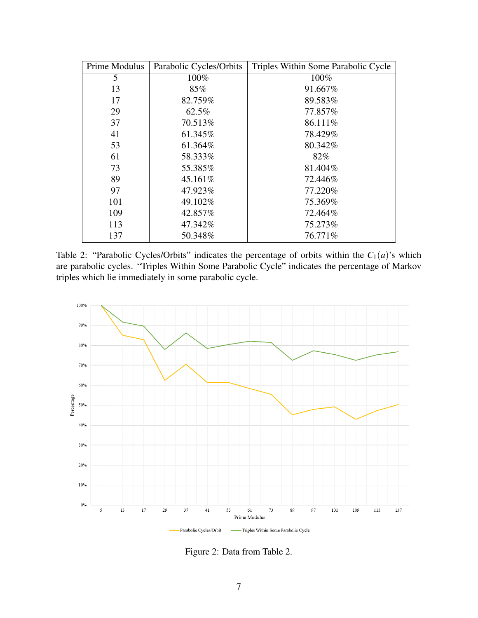| Prime Modulus | Parabolic Cycles/Orbits | Triples Within Some Parabolic Cycle |
|---------------|-------------------------|-------------------------------------|
| 5             | 100%                    | 100%                                |
| 13            | 85%                     | 91.667%                             |
| 17            | 82.759%                 | 89.583%                             |
| 29            | 62.5%                   | 77.857%                             |
| 37            | 70.513%                 | 86.111%                             |
| 41            | 61.345%                 | 78.429%                             |
| 53            | 61.364%                 | 80.342%                             |
| 61            | 58.333%                 | 82%                                 |
| 73            | 55.385%                 | 81.404%                             |
| 89            | 45.161\%                | 72.446%                             |
| 97            | 47.923%                 | 77.220%                             |
| 101           | 49.102%                 | 75.369%                             |
| 109           | 42.857%                 | 72.464%                             |
| 113           | 47.342%                 | 75.273%                             |
| 137           | 50.348%                 | 76.771%                             |

Table 2: "Parabolic Cycles/Orbits" indicates the percentage of orbits within the  $C_1(a)$ 's which are parabolic cycles. "Triples Within Some Parabolic Cycle" indicates the percentage of Markov triples which lie immediately in some parabolic cycle.



Figure 2: Data from Table 2.